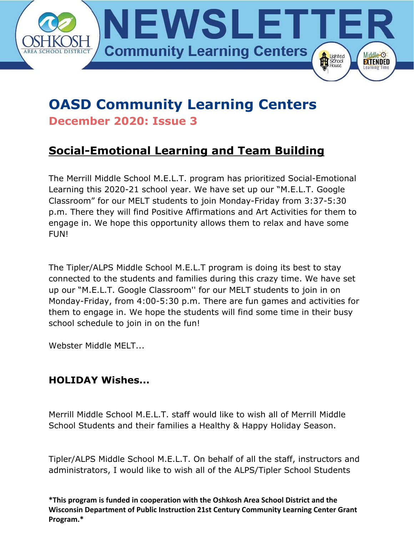

## **OASD Community Learning Centers December 2020: Issue 3**

## **Social-Emotional Learning and Team Building**

The Merrill Middle School M.E.L.T. program has prioritized Social-Emotional Learning this 2020-21 school year. We have set up our "M.E.L.T. Google Classroom" for our MELT students to join Monday-Friday from 3:37-5:30 p.m. There they will find Positive Affirmations and Art Activities for them to engage in. We hope this opportunity allows them to relax and have some FUN!

The Tipler/ALPS Middle School M.E.L.T program is doing its best to stay connected to the students and families during this crazy time. We have set up our "M.E.L.T. Google Classroom'' for our MELT students to join in on Monday-Friday, from 4:00-5:30 p.m. There are fun games and activities for them to engage in. We hope the students will find some time in their busy school schedule to join in on the fun!

Webster Middle MELT...

### **HOLIDAY Wishes...**

Merrill Middle School M.E.L.T. staff would like to wish all of Merrill Middle School Students and their families a Healthy & Happy Holiday Season.

Tipler/ALPS Middle School M.E.L.T. On behalf of all the staff, instructors and administrators, I would like to wish all of the ALPS/Tipler School Students

**\*This program is funded in cooperation with the Oshkosh Area School District and the Wisconsin Department of Public Instruction 21st Century Community Learning Center Grant Program.\***